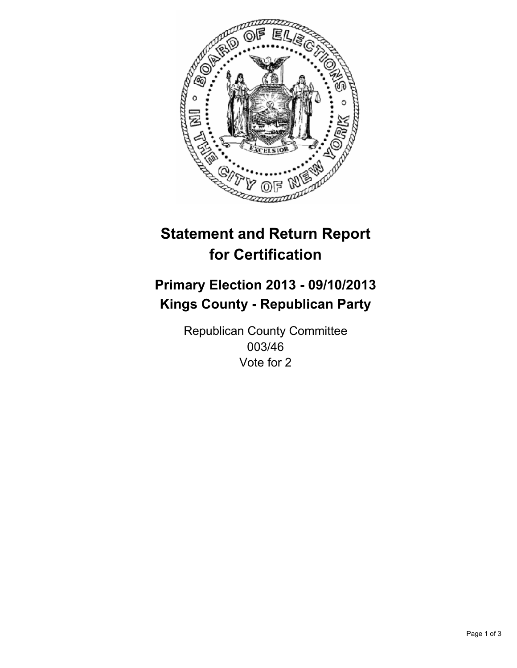

# **Statement and Return Report for Certification**

## **Primary Election 2013 - 09/10/2013 Kings County - Republican Party**

Republican County Committee 003/46 Vote for 2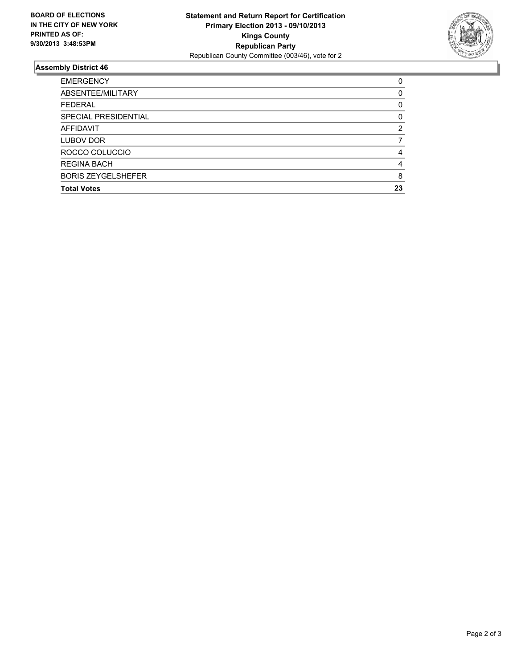

### **Assembly District 46**

| <b>EMERGENCY</b>          | 0        |
|---------------------------|----------|
| ABSENTEE/MILITARY         | $\Omega$ |
| <b>FEDERAL</b>            | 0        |
| SPECIAL PRESIDENTIAL      | 0        |
| AFFIDAVIT                 | 2        |
| LUBOV DOR                 |          |
| ROCCO COLUCCIO            | 4        |
| <b>REGINA BACH</b>        | 4        |
| <b>BORIS ZEYGELSHEFER</b> | 8        |
| <b>Total Votes</b>        | 23       |